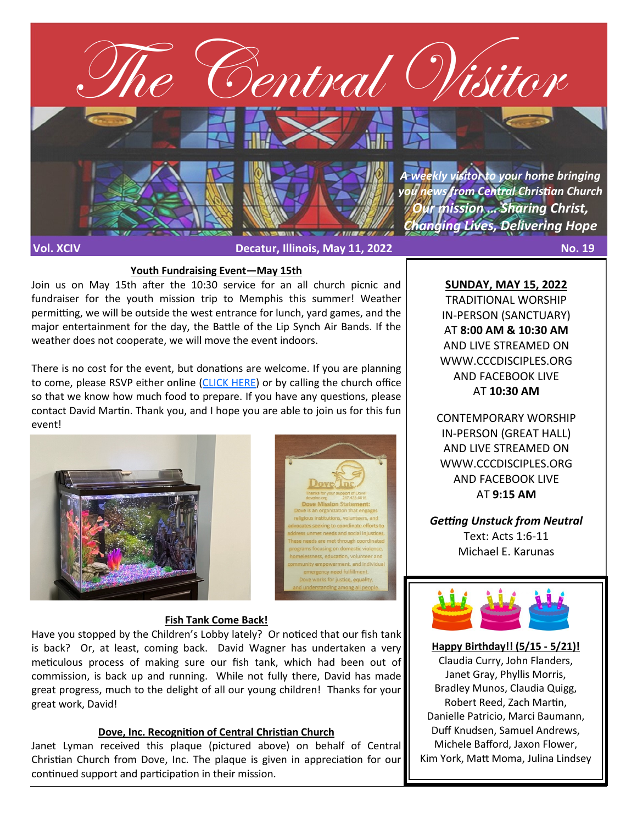

### **Youth Fundraising Event—May 15th**

Join us on May 15th after the 10:30 service for an all church picnic and fundraiser for the youth mission trip to Memphis this summer! Weather permitting, we will be outside the west entrance for lunch, yard games, and the major entertainment for the day, the Battle of the Lip Synch Air Bands. If the weather does not cooperate, we will move the event indoors.

There is no cost for the event, but donations are welcome. If you are planning to come, please RSVP either online ([CLICK HERE\)](https://cccdisciples.shelbynextchms.com/external/form/b165b465-e317-4195-ba09-2db07133e8e1) or by calling the church office so that we know how much food to prepare. If you have any questions, please contact David Martin. Thank you, and I hope you are able to join us for this fun event!





#### **Fish Tank Come Back!**

Have you stopped by the Children's Lobby lately? Or noticed that our fish tank is back? Or, at least, coming back. David Wagner has undertaken a very meticulous process of making sure our fish tank, which had been out of commission, is back up and running. While not fully there, David has made great progress, much to the delight of all our young children! Thanks for your great work, David!

#### **Dove, Inc. Recognition of Central Christian Church**

Janet Lyman received this plaque (pictured above) on behalf of Central Christian Church from Dove, Inc. The plaque is given in appreciation for our continued support and participation in their mission.

**SUNDAY, MAY 15, 2022** TRADITIONAL WORSHIP IN-PERSON (SANCTUARY) AT **8:00 AM & 10:30 AM**  AND LIVE STREAMED ON WWW.CCCDISCIPLES.ORG AND FACEBOOK LIVE AT **10:30 AM**

CONTEMPORARY WORSHIP IN-PERSON (GREAT HALL) AND LIVE STREAMED ON WWW.CCCDISCIPLES.ORG AND FACEBOOK LIVE AT **9:15 AM**

*Getting Unstuck from Neutral* Text: Acts 1:6-11 Michael E. Karunas



**Happy Birthday!! (5/15 - 5/21)!** Claudia Curry, John Flanders, Janet Gray, Phyllis Morris, Bradley Munos, Claudia Quigg, Robert Reed, Zach Martin, Danielle Patricio, Marci Baumann, Duff Knudsen, Samuel Andrews, Michele Bafford, Jaxon Flower, Kim York, Matt Moma, Julina Lindsey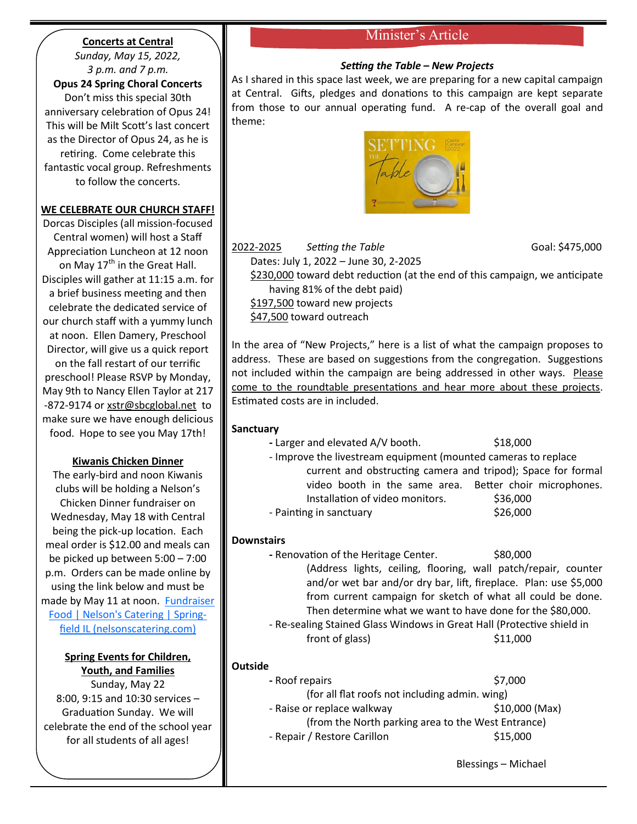## **Concerts at Central**

*Sunday, May 15, 2022, 3 p.m. and 7 p.m.*

## **Opus 24 Spring Choral Concerts**

Don't miss this special 30th anniversary celebration of Opus 24! This will be Milt Scott's last concert as the Director of Opus 24, as he is retiring. Come celebrate this fantastic vocal group. Refreshments to follow the concerts.

## **WE CELEBRATE OUR CHURCH STAFF!**

Dorcas Disciples (all mission-focused Central women) will host a Staff Appreciation Luncheon at 12 noon on May  $17<sup>th</sup>$  in the Great Hall. Disciples will gather at 11:15 a.m. for a brief business meeting and then celebrate the dedicated service of our church staff with a yummy lunch at noon. Ellen Damery, Preschool Director, will give us a quick report on the fall restart of our terrific preschool! Please RSVP by Monday, May 9th to Nancy Ellen Taylor at 217 -872-9174 or [xstr@sbcglobal.net](mailto:xstr@sbcglobal.net) to make sure we have enough delicious food. Hope to see you May 17th!

### **Kiwanis Chicken Dinner**

The early-bird and noon Kiwanis clubs will be holding a Nelson's Chicken Dinner fundraiser on Wednesday, May 18 with Central being the pick-up location. Each meal order is \$12.00 and meals can be picked up between 5:00 – 7:00 p.m. Orders can be made online by using the link below and must be made by May 11 at noon. **Fundraiser** [Food | Nelson's Catering | Spring](https://nelsonscatering.com/kiwanis)[field IL \(nelsonscatering.com\)](https://nelsonscatering.com/kiwanis)

### **Spring Events for Children, Youth, and Families**

Sunday, May 22 8:00, 9:15 and 10:30 services – Graduation Sunday. We will celebrate the end of the school year for all students of all ages!

# Minister's Article

### *Setting the Table – New Projects*

As I shared in this space last week, we are preparing for a new capital campaign at Central. Gifts, pledges and donations to this campaign are kept separate from those to our annual operating fund. A re-cap of the overall goal and theme:



2022-2025 *Setting the Table* Goal: \$475,000

Dates: July 1, 2022 – June 30, 2-2025 \$230,000 toward debt reduction (at the end of this campaign, we anticipate having 81% of the debt paid)

\$197,500 toward new projects

\$47,500 toward outreach

In the area of "New Projects," here is a list of what the campaign proposes to address. These are based on suggestions from the congregation. Suggestions not included within the campaign are being addressed in other ways. Please come to the roundtable presentations and hear more about these projects. Estimated costs are in included.

### **Sanctuary**

- Larger and elevated A/V booth. \$18,000

- Improve the livestream equipment (mounted cameras to replace current and obstructing camera and tripod); Space for formal video booth in the same area. Better choir microphones. Installation of video monitors. \$36,000
- Painting in sanctuary \$26,000

### **Downstairs**

- Renovation of the Heritage Center.  $$80,000$ (Address lights, ceiling, flooring, wall patch/repair, counter and/or wet bar and/or dry bar, lift, fireplace. Plan: use \$5,000 from current campaign for sketch of what all could be done. Then determine what we want to have done for the \$80,000.
- Re-sealing Stained Glass Windows in Great Hall (Protective shield in  $front of glass$ )  $$11,000$

## **Outside**

- **-** Roof repairs \$7,000
	- (for all flat roofs not including admin. wing)
	- Raise or replace walkway  $$10,000$  (Max)
		- (from the North parking area to the West Entrance)
	- Repair / Restore Carillon \$15,000

Blessings – Michael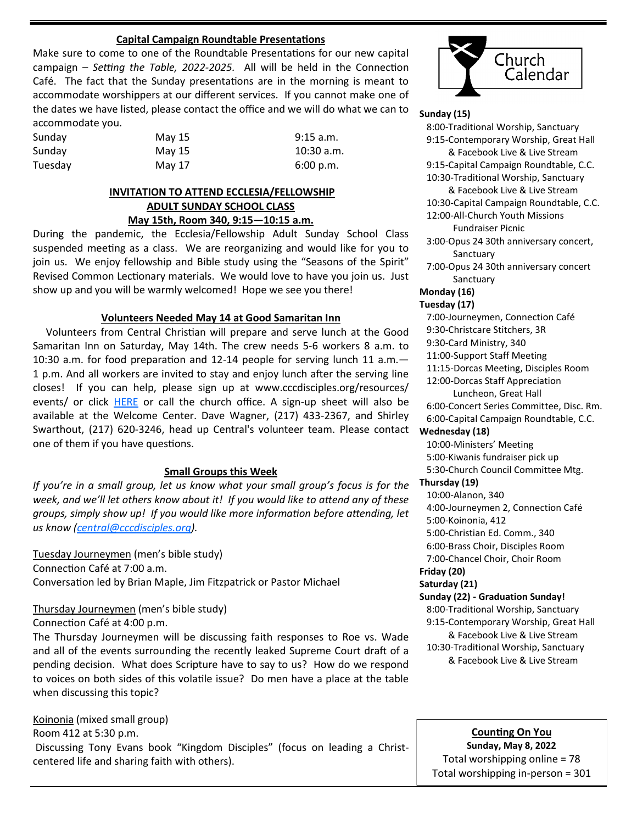### **Capital Campaign Roundtable Presentations**

Make sure to come to one of the Roundtable Presentations for our new capital campaign – *Setting the Table, 2022-2025.* All will be held in the Connection Café. The fact that the Sunday presentations are in the morning is meant to accommodate worshippers at our different services. If you cannot make one of the dates we have listed, please contact the office and we will do what we can to accommodate you.

| Sunday  | May 15 | $9:15$ a.m. |
|---------|--------|-------------|
| Sunday  | May 15 | 10:30 a.m.  |
| Tuesday | May 17 | 6:00 p.m.   |

## **INVITATION TO ATTEND ECCLESIA/FELLOWSHIP ADULT SUNDAY SCHOOL CLASS May 15th, Room 340, 9:15—10:15 a.m.**

During the pandemic, the Ecclesia/Fellowship Adult Sunday School Class suspended meeting as a class. We are reorganizing and would like for you to join us. We enjoy fellowship and Bible study using the "Seasons of the Spirit" Revised Common Lectionary materials. We would love to have you join us. Just show up and you will be warmly welcomed! Hope we see you there!

### **Volunteers Needed May 14 at Good Samaritan Inn**

 Volunteers from Central Christian will prepare and serve lunch at the Good Samaritan Inn on Saturday, May 14th. The crew needs 5-6 workers 8 a.m. to 10:30 a.m. for food preparation and 12-14 people for serving lunch 11 a.m.— 1 p.m. And all workers are invited to stay and enjoy lunch after the serving line closes! If you can help, please sign up at www.cccdisciples.org/resources/ events/ or click [HERE](https://cccdisciples.shelbynextchms.com/external/form/38e9100d-10b1-486f-9f99-11ac163a87a2) or call the church office. A sign-up sheet will also be available at the Welcome Center. Dave Wagner, (217) 433-2367, and Shirley Swarthout, (217) 620-3246, head up Central's volunteer team. Please contact one of them if you have questions.

### **Small Groups this Week**

*If you're in a small group, let us know what your small group's focus is for the week, and we'll let others know about it! If you would like to attend any of these groups, simply show up! If you would like more information before attending, let us know [\(central@cccdisciples.org\)](mailto:central@cccdisciples.org).* 

Tuesday Journeymen (men's bible study) Connection Café at 7:00 a.m. Conversation led by Brian Maple, Jim Fitzpatrick or Pastor Michael

Thursday Journeymen (men's bible study)

Connection Café at 4:00 p.m.

The Thursday Journeymen will be discussing faith responses to Roe vs. Wade and all of the events surrounding the recently leaked Supreme Court draft of a pending decision. What does Scripture have to say to us? How do we respond to voices on both sides of this volatile issue? Do men have a place at the table when discussing this topic?

Koinonia (mixed small group) Room 412 at 5:30 p.m. Discussing Tony Evans book "Kingdom Disciples" (focus on leading a Christcentered life and sharing faith with others).



### **Sunday (15)**

 8:00-Traditional Worship, Sanctuary 9:15-Contemporary Worship, Great Hall & Facebook Live & Live Stream 9:15-Capital Campaign Roundtable, C.C. 10:30-Traditional Worship, Sanctuary & Facebook Live & Live Stream 10:30-Capital Campaign Roundtable, C.C. 12:00-All-Church Youth Missions Fundraiser Picnic 3:00-Opus 24 30th anniversary concert, **Sanctuary**  7:00-Opus 24 30th anniversary concert **Sanctuary Monday (16) Tuesday (17)** 7:00-Journeymen, Connection Café 9:30-Christcare Stitchers, 3R 9:30-Card Ministry, 340 11:00-Support Staff Meeting 11:15-Dorcas Meeting, Disciples Room 12:00-Dorcas Staff Appreciation Luncheon, Great Hall 6:00-Concert Series Committee, Disc. Rm. 6:00-Capital Campaign Roundtable, C.C. **Wednesday (18)** 10:00-Ministers' Meeting 5:00-Kiwanis fundraiser pick up 5:30-Church Council Committee Mtg. **Thursday (19)** 10:00-Alanon, 340 4:00-Journeymen 2, Connection Café 5:00-Koinonia, 412 5:00-Christian Ed. Comm., 340 6:00-Brass Choir, Disciples Room 7:00-Chancel Choir, Choir Room **Friday (20) Saturday (21) Sunday (22) - Graduation Sunday!** 8:00-Traditional Worship, Sanctuary 9:15-Contemporary Worship, Great Hall & Facebook Live & Live Stream 10:30-Traditional Worship, Sanctuary & Facebook Live & Live Stream

**Counting On You Sunday, May 8, 2022** Total worshipping online = 78 Total worshipping in-person = 301